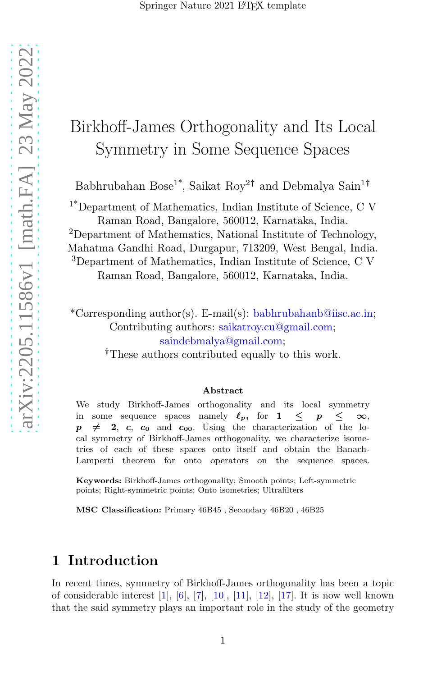# arXiv:2205.11586v1 [math.FA] 23 May 2022 [arXiv:2205.11586v1 \[math.FA\] 23 May 2022](http://arxiv.org/abs/2205.11586v1)

# Birkhoff-James Orthogonality and Its Local Symmetry in Some Sequence Spaces

Babhrubahan Bose<sup>1\*</sup>, Saikat Roy<sup>2†</sup> and Debmalya Sain<sup>1†</sup>

1\*Department of Mathematics, Indian Institute of Science, C V Raman Road, Bangalore, 560012, Karnataka, India.

<sup>2</sup>Department of Mathematics, National Institute of Technology, Mahatma Gandhi Road, Durgapur, 713209, West Bengal, India. <sup>3</sup>Department of Mathematics, Indian Institute of Science, C V Raman Road, Bangalore, 560012, Karnataka, India.

\*Corresponding author(s). E-mail(s): babhrubahanb@iisc.ac.in; Contributing authors: saikatroy.cu@gmail.com; saindebmalya@gmail.com;

†These authors contributed equally to this work.

### Abstract

We study Birkhoff-James orthogonality and its local symmetry in some sequence spaces namely  $\ell_p$ , for  $1 \leq p \leq \infty$ ,  $p \neq 2$ , c, c<sub>0</sub> and c<sub>00</sub>. Using the characterization of the local symmetry of Birkhoff-James orthogonality, we characterize isometries of each of these spaces onto itself and obtain the Banach-Lamperti theorem for onto operators on the sequence spaces.

Keywords: Birkhoff-James orthogonality; Smooth points; Left-symmetric points; Right-symmetric points; Onto isometries; Ultrafilters

MSC Classification: Primary 46B45 , Secondary 46B20 , 46B25

# 1 Introduction

In recent times, symmetry of Birkhoff-James orthogonality has been a topic of considerable interest [\[1](#page-17-0)], [\[6](#page-17-1)], [\[7](#page-17-2)], [\[10\]](#page-17-3), [\[11\]](#page-17-4), [\[12\]](#page-18-0), [\[17\]](#page-18-1). It is now well known that the said symmetry plays an important role in the study of the geometry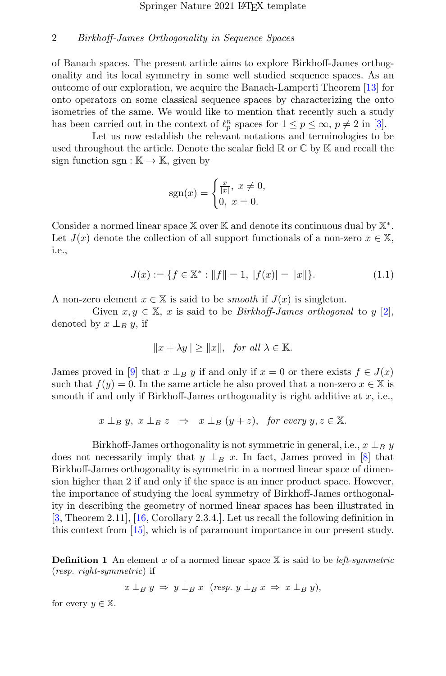of Banach spaces. The present article aims to explore Birkhoff-James orthogonality and its local symmetry in some well studied sequence spaces. As an outcome of our exploration, we acquire the Banach-Lamperti Theorem [\[13\]](#page-18-2) for onto operators on some classical sequence spaces by characterizing the onto isometries of the same. We would like to mention that recently such a study has been carried out in the context of  $\ell_p^n$  spaces for  $1 \leq p \leq \infty$ ,  $p \neq 2$  in [\[3](#page-17-5)].

Let us now establish the relevant notations and terminologies to be used throughout the article. Denote the scalar field  $\mathbb{R}$  or  $\mathbb{C}$  by  $\mathbb{K}$  and recall the sign function sgn :  $\mathbb{K} \to \mathbb{K}$ , given by

<span id="page-1-0"></span>
$$
sgn(x) = \begin{cases} \frac{x}{|x|}, \ x \neq 0, \\ 0, \ x = 0. \end{cases}
$$

Consider a normed linear space  $\mathbb X$  over  $\mathbb K$  and denote its continuous dual by  $\mathbb X^*.$ Let  $J(x)$  denote the collection of all support functionals of a non-zero  $x \in \mathbb{X}$ , i.e.,

$$
J(x) := \{ f \in \mathbb{X}^* : ||f|| = 1, \ |f(x)| = ||x|| \}.
$$
 (1.1)

A non-zero element  $x \in \mathbb{X}$  is said to be *smooth* if  $J(x)$  is singleton.

Given  $x, y \in \mathbb{X}$ , x is said to be *Birkhoff-James orthogonal* to y [\[2\]](#page-17-6), denoted by  $x \perp_B y$ , if

$$
||x + \lambda y|| \ge ||x||, \text{ for all } \lambda \in \mathbb{K}.
$$

James proved in [\[9](#page-17-7)] that  $x \perp_B y$  if and only if  $x = 0$  or there exists  $f \in J(x)$ such that  $f(y) = 0$ . In the same article he also proved that a non-zero  $x \in \mathbb{X}$  is smooth if and only if Birkhoff-James orthogonality is right additive at  $x$ , i.e.,

$$
x \perp_B y, x \perp_B z \Rightarrow x \perp_B (y+z), \text{ for every } y, z \in \mathbb{X}.
$$

Birkhoff-James orthogonality is not symmetric in general, i.e.,  $x \perp_B y$ does not necessarily imply that  $y \perp_B x$ . In fact, James proved in [\[8\]](#page-17-8) that Birkhoff-James orthogonality is symmetric in a normed linear space of dimension higher than 2 if and only if the space is an inner product space. However, the importance of studying the local symmetry of Birkhoff-James orthogonality in describing the geometry of normed linear spaces has been illustrated in [\[3,](#page-17-5) Theorem 2.11], [\[16](#page-18-3), Corollary 2.3.4.]. Let us recall the following definition in this context from [\[15\]](#page-18-4), which is of paramount importance in our present study.

**Definition 1** An element x of a normed linear space  $X$  is said to be *left-symmetric* (resp. right-symmetric) if

 $x \perp_B y \Rightarrow y \perp_B x \text{ (resp. } y \perp_B x \Rightarrow x \perp_B y),$ 

for every  $y \in \mathbb{X}$ .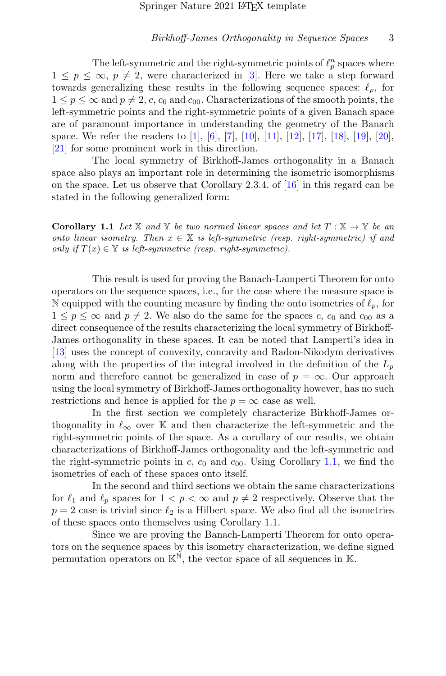The left-symmetric and the right-symmetric points of  $\ell_p^n$  spaces where  $1 \leq p \leq \infty$ ,  $p \neq 2$ , were characterized in [\[3](#page-17-5)]. Here we take a step forward towards generalizing these results in the following sequence spaces:  $\ell_p$ , for  $1 \leq p \leq \infty$  and  $p \neq 2$ , c, c<sub>0</sub> and c<sub>00</sub>. Characterizations of the smooth points, the left-symmetric points and the right-symmetric points of a given Banach space are of paramount importance in understanding the geometry of the Banach space. We refer the readers to [\[1\]](#page-17-0), [\[6\]](#page-17-1), [\[7\]](#page-17-2), [\[10\]](#page-17-3), [\[11\]](#page-17-4), [\[12\]](#page-18-0), [\[17\]](#page-18-1), [\[18\]](#page-18-5), [\[19\]](#page-18-6), [\[20\]](#page-18-7), [\[21\]](#page-18-8) for some prominent work in this direction.

The local symmetry of Birkhoff-James orthogonality in a Banach space also plays an important role in determining the isometric isomorphisms on the space. Let us observe that Corollary 2.3.4. of [\[16](#page-18-3)] in this regard can be stated in the following generalized form:

<span id="page-2-0"></span>**Corollary 1.1** Let X and Y be two normed linear spaces and let  $T : X \to Y$  be an onto linear isometry. Then  $x \in X$  is left-symmetric (resp. right-symmetric) if and only if  $T(x) \in \mathbb{Y}$  is left-symmetric (resp. right-symmetric).

This result is used for proving the Banach-Lamperti Theorem for onto operators on the sequence spaces, i.e., for the case where the measure space is N equipped with the counting measure by finding the onto isometries of  $\ell_p$ , for  $1 \leq p \leq \infty$  and  $p \neq 2$ . We also do the same for the spaces c,  $c_0$  and  $c_{00}$  as a direct consequence of the results characterizing the local symmetry of Birkhoff-James orthogonality in these spaces. It can be noted that Lamperti's idea in [\[13\]](#page-18-2) uses the concept of convexity, concavity and Radon-Nikodym derivatives along with the properties of the integral involved in the definition of the  $L_p$ norm and therefore cannot be generalized in case of  $p = \infty$ . Our approach using the local symmetry of Birkhoff-James orthogonality however, has no such restrictions and hence is applied for the  $p = \infty$  case as well.

In the first section we completely characterize Birkhoff-James orthogonality in  $\ell_{\infty}$  over K and then characterize the left-symmetric and the right-symmetric points of the space. As a corollary of our results, we obtain characterizations of Birkhoff-James orthogonality and the left-symmetric and the right-symmetric points in c,  $c_0$  and  $c_{00}$ . Using Corollary [1.1,](#page-2-0) we find the isometries of each of these spaces onto itself.

In the second and third sections we obtain the same characterizations for  $\ell_1$  and  $\ell_p$  spaces for  $1 < p < \infty$  and  $p \neq 2$  respectively. Observe that the  $p = 2$  case is trivial since  $\ell_2$  is a Hilbert space. We also find all the isometries of these spaces onto themselves using Corollary [1.1.](#page-2-0)

Since we are proving the Banach-Lamperti Theorem for onto operators on the sequence spaces by this isometry characterization, we define signed permutation operators on  $\mathbb{K}^{\mathbb{N}}$ , the vector space of all sequences in K.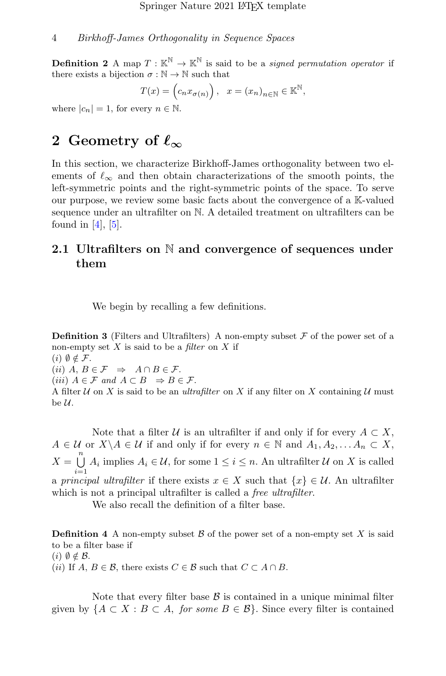**Definition 2** A map  $T : \mathbb{K}^{\mathbb{N}} \to \mathbb{K}^{\mathbb{N}}$  is said to be a *signed permutation operator* if there exists a bijection  $\sigma : \mathbb{N} \to \mathbb{N}$  such that

$$
T(x) = \left(c_n x_{\sigma(n)}\right), \quad x = \left(x_n\right)_{n \in \mathbb{N}} \in \mathbb{K}^{\mathbb{N}},
$$

where  $|c_n| = 1$ , for every  $n \in \mathbb{N}$ .

# 2 Geometry of  $\ell_{\infty}$

In this section, we characterize Birkhoff-James orthogonality between two elements of  $\ell_{\infty}$  and then obtain characterizations of the smooth points, the left-symmetric points and the right-symmetric points of the space. To serve our purpose, we review some basic facts about the convergence of a K-valued sequence under an ultrafilter on N. A detailed treatment on ultrafilters can be found in  $[4]$ ,  $[5]$ .

## 2.1 Ultrafilters on N and convergence of sequences under them

We begin by recalling a few definitions.

**Definition 3** (Filters and Ultrafilters) A non-empty subset  $\mathcal F$  of the power set of a non-empty set  $X$  is said to be a *filter* on  $X$  if  $(i)$   $\emptyset \notin \mathcal{F}$ .

(ii)  $A, B \in \mathcal{F} \Rightarrow A \cap B \in \mathcal{F}.$ 

(iii)  $A \in \mathcal{F}$  and  $A \subset B \Rightarrow B \in \mathcal{F}$ .

A filter  $U$  on X is said to be an *ultrafilter* on X if any filter on X containing  $U$  must be  $\mathcal{U}.$ 

Note that a filter U is an ultrafilter if and only if for every  $A \subset X$ ,  $A \in \mathcal{U}$  or  $X \backslash A \in \mathcal{U}$  if and only if for every  $n \in \mathbb{N}$  and  $A_1, A_2, \ldots, A_n \subset X$ ,  $X = \bigcup^{n}$  $\bigcup_{i=1} A_i$  implies  $A_i \in \mathcal{U}$ , for some  $1 \leq i \leq n$ . An ultrafilter  $\mathcal{U}$  on X is called a principal ultrafilter if there exists  $x \in X$  such that  $\{x\} \in \mathcal{U}$ . An ultrafilter which is not a principal ultrafilter is called a *free ultrafilter*.

We also recall the definition of a filter base.

**Definition 4** A non-empty subset  $\beta$  of the power set of a non-empty set X is said to be a filter base if  $(i)$   $\emptyset \notin \mathcal{B}$ . (ii) If  $A, B \in \mathcal{B}$ , there exists  $C \in \mathcal{B}$  such that  $C \subset A \cap B$ .

Note that every filter base  $\beta$  is contained in a unique minimal filter given by  ${A \subset X : B \subset A$ , for some  $B \in \mathcal{B}}$ . Since every filter is contained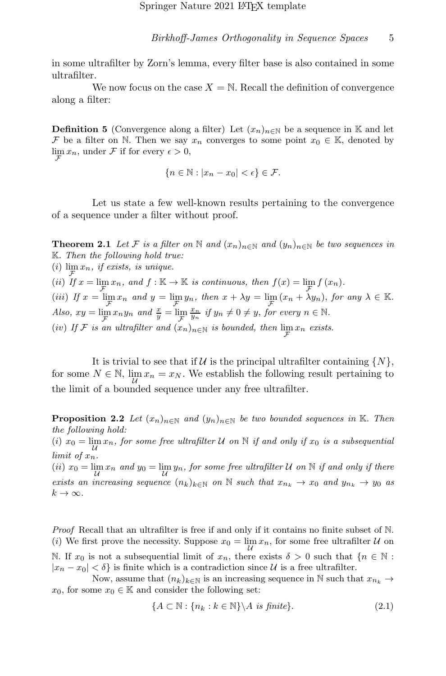in some ultrafilter by Zorn's lemma, every filter base is also contained in some ultrafilter.

We now focus on the case  $X = N$ . Recall the definition of convergence along a filter:

**Definition 5** (Convergence along a filter) Let  $(x_n)_{n\in\mathbb{N}}$  be a sequence in K and let F be a filter on N. Then we say  $x_n$  converges to some point  $x_0 \in \mathbb{K}$ , denoted by  $\lim_{\mathcal{F}} x_n$ , under F if for every  $\epsilon > 0$ , F

$$
\{n\in\mathbb{N}:|x_n-x_0|<\epsilon\}\in\mathcal{F}.
$$

Let us state a few well-known results pertaining to the convergence of a sequence under a filter without proof.

**Theorem 2.1** Let F is a filter on N and  $(x_n)_{n\in\mathbb{N}}$  and  $(y_n)_{n\in\mathbb{N}}$  be two sequences in K. Then the following hold true: (*i*)  $\lim_{n \to \infty} x_n$ , *if exists*, *is unique.* (ii) If  $x = \lim_{\mathcal{F}} x_n$ , and  $f : \mathbb{K} \to \mathbb{K}$  is continuous, then  $f(x) = \lim_{\mathcal{F}} f(x_n)$ . (iii) If  $x = \lim_{\mathcal{F}} x_n$  and  $y = \lim_{\mathcal{F}} y_n$ , then  $x + \lambda y = \lim_{\mathcal{F}} (x_n + \lambda y_n)$ , for any  $\lambda \in \mathbb{K}$ . Also,  $xy = \lim_{\mathcal{F}} x_n y_n$  and  $\frac{x}{y} = \lim_{\mathcal{F}}$  $\frac{x_n}{y_n}$  if  $y_n \neq 0 \neq y$ , for every  $n \in \mathbb{N}$ . (iv) If F is an ultrafilter and  $(x_n)_{n \in \mathbb{N}}$  is bounded, then  $\lim_{\mathcal{F}} x_n$  exists.

It is trivial to see that if U is the principal ultrafilter containing  $\{N\},\$ for some  $N \in \mathbb{N}$ ,  $\lim_{\mathcal{U}} x_n = x_N$ . We establish the following result pertaining to the limit of a bounded sequence under any free ultrafilter.

<span id="page-4-1"></span>**Proposition 2.2** Let  $(x_n)_{n\in\mathbb{N}}$  and  $(y_n)_{n\in\mathbb{N}}$  be two bounded sequences in K. Then the following hold:

(i)  $x_0 = \lim_{\mathcal{U}} x_n$ , for some free ultrafilter U on N if and only if  $x_0$  is a subsequential limit of xn.

(ii)  $x_0 = \lim_{\mathcal{U}} x_n$  and  $y_0 = \lim_{\mathcal{U}} y_n$ , for some free ultrafilter U on N if and only if there exists an increasing sequence  $(n_k)_{k\in\mathbb{N}}$  on  $\mathbb N$  such that  $x_{n_k} \to x_0$  and  $y_{n_k} \to y_0$  as  $k\to\infty$ .

Proof Recall that an ultrafilter is free if and only if it contains no finite subset of N. (*i*) We first prove the necessity. Suppose  $x_0 = \lim_{\mathcal{U}} x_n$ , for some free ultrafilter  $\mathcal U$  on N. If  $x_0$  is not a subsequential limit of  $x_n$ , there exists  $\delta > 0$  such that  $\{n \in \mathbb{N} :$  $|x_n - x_0| < \delta$  is finite which is a contradiction since U is a free ultrafilter.

Now, assume that  $(n_k)_{k\in\mathbb{N}}$  is an increasing sequence in N such that  $x_{n_k} \to$  $x_0$ , for some  $x_0 \in \mathbb{K}$  and consider the following set:

<span id="page-4-0"></span>
$$
\{A \subset \mathbb{N} : \{n_k : k \in \mathbb{N}\} \backslash A \text{ is finite}\}.
$$
\n
$$
(2.1)
$$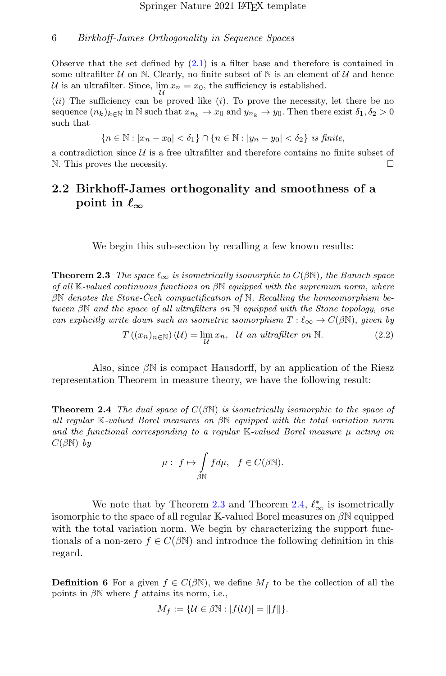Observe that the set defined by  $(2.1)$  is a filter base and therefore is contained in some ultrafilter  $U$  on N. Clearly, no finite subset of N is an element of  $U$  and hence U is an ultrafilter. Since,  $\lim_{n \to \infty} x_n = x_0$ , the sufficiency is established.  $\mathcal{U}$ 

 $(ii)$  The sufficiency can be proved like  $(i)$ . To prove the necessity, let there be no sequence  $(n_k)_{k\in\mathbb{N}}$  in  $\mathbb N$  such that  $x_{n_k} \to x_0$  and  $y_{n_k} \to y_0$ . Then there exist  $\delta_1, \delta_2 > 0$ such that

{n ∈ N : |x<sup>n</sup> − x0| < δ1} ∩ {n ∈ N : |y<sup>n</sup> − y0| < δ2} is finite,

a contradiction since  $\mathcal U$  is a free ultrafilter and therefore contains no finite subset of N. This proves the necessity.  $\Box$ 

# 2.2 Birkhoff-James orthogonality and smoothness of a point in  $\ell_{\infty}$

We begin this sub-section by recalling a few known results:

<span id="page-5-0"></span>**Theorem 2.3** The space  $\ell_{\infty}$  is isometrically isomorphic to  $C(\beta N)$ , the Banach space of all K-valued continuous functions on  $\beta\mathbb{N}$  equipped with the supremum norm, where  $\beta\mathbb{N}$  denotes the Stone-Cech compactification of  $\mathbb{N}$ . Recalling the homeomorphism between βN and the space of all ultrafilters on N equipped with the Stone topology, one can explicitly write down such an isometric isomorphism  $T : \ell_{\infty} \to C(\beta \mathbb{N})$ , given by

$$
T((x_n)_{n\in\mathbb{N}})(\mathcal{U}) = \lim_{\mathcal{U}} x_n, \quad \mathcal{U} \text{ an ultrafilter on } \mathbb{N}. \tag{2.2}
$$

Also, since  $\beta N$  is compact Hausdorff, by an application of the Riesz representation Theorem in measure theory, we have the following result:

<span id="page-5-1"></span>**Theorem 2.4** The dual space of  $C(\beta N)$  is isometrically isomorphic to the space of all regular K-valued Borel measures on βN equipped with the total variation norm and the functional corresponding to a regular  $\mathbb{K}\text{-}valued$  Borel measure  $\mu$  acting on  $C(\beta\mathbb{N})$  by

$$
\mu: f \mapsto \int_{\beta \mathbb{N}} f d\mu, \quad f \in C(\beta \mathbb{N}).
$$

We note that by Theorem [2.3](#page-5-0) and Theorem [2.4,](#page-5-1)  $\ell_{\infty}^{*}$  is isometrically isomorphic to the space of all regular K-valued Borel measures on  $\beta N$  equipped with the total variation norm. We begin by characterizing the support functionals of a non-zero  $f \in C(\beta \mathbb{N})$  and introduce the following definition in this regard.

**Definition 6** For a given  $f \in C(\beta\mathbb{N})$ , we define  $M_f$  to be the collection of all the points in  $\beta\mathbb{N}$  where f attains its norm, i.e.,

$$
M_f := \{ \mathcal{U} \in \beta \mathbb{N} : |f(\mathcal{U})| = ||f|| \}.
$$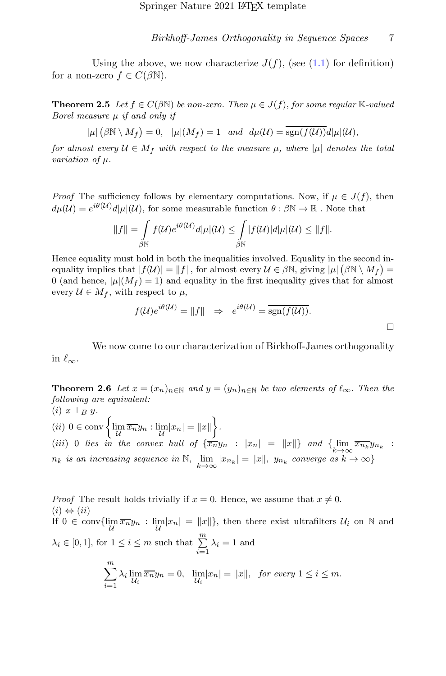Using the above, we now characterize  $J(f)$ , (see [\(1.1\)](#page-1-0) for definition) for a non-zero  $f \in C(\beta \mathbb{N})$ .

<span id="page-6-0"></span>**Theorem 2.5** Let  $f \in C(\beta \mathbb{N})$  be non-zero. Then  $\mu \in J(f)$ , for some regular K-valued Borel measure  $\mu$  if and only if

$$
|\mu| (\beta \mathbb{N} \setminus M_f) = 0, \quad |\mu|(M_f) = 1 \quad and \quad d\mu(\mathcal{U}) = \overline{\text{sgn}(f(\mathcal{U}))} d|\mu|(\mathcal{U}),
$$

for almost every  $U \in M_f$  with respect to the measure  $\mu$ , where  $|\mu|$  denotes the total variation of  $\mu$ .

*Proof* The sufficiency follows by elementary computations. Now, if  $\mu \in J(f)$ , then  $d\mu(\mathcal{U}) = e^{i\theta(\mathcal{U})} d|\mu|(\mathcal{U}),$  for some measurable function  $\theta : \beta \mathbb{N} \to \mathbb{R}$ . Note that

$$
||f|| = \int_{\beta \mathbb{N}} f(\mathcal{U}) e^{i\theta(\mathcal{U})} d|\mu|(\mathcal{U}) \leq \int_{\beta \mathbb{N}} |f(\mathcal{U})| d|\mu|(\mathcal{U}) \leq ||f||.
$$

Hence equality must hold in both the inequalities involved. Equality in the second inequality implies that  $|f(\mathcal{U})| = ||f||$ , for almost every  $\mathcal{U} \in \beta \mathbb{N}$ , giving  $|\mu| (\beta \mathbb{N} \setminus M_f) =$ 0 (and hence,  $|\mu|(M_f) = 1$ ) and equality in the first inequality gives that for almost every  $\mathcal{U} \in M_f$ , with respect to  $\mu$ ,

$$
f(U)e^{i\theta(U)} = ||f|| \Rightarrow e^{i\theta(U)} = \overline{\text{sgn}(f(U))}.
$$

We now come to our characterization of Birkhoff-James orthogonality in  $\ell_{\infty}$ .

<span id="page-6-1"></span>**Theorem 2.6** Let  $x = (x_n)_{n \in \mathbb{N}}$  and  $y = (y_n)_{n \in \mathbb{N}}$  be two elements of  $\ell_{\infty}$ . Then the following are equivalent:  $(i)$   $x \perp_B y$ .  $(ii)$   $0 \in \text{conv}\left\{\lim_{\mathcal{U}}\overline{x_{n}}y_{n} : \lim_{\mathcal{U}}|x_{n}|=\|x\|\right\}.$ (iii) 0 lies in the convex hull of  $\{\overline{x_n}y_n : |x_n| = ||x||\}$  and  $\{\lim_{k\to\infty} \overline{x_{n_k}}y_{n_k}$  :

 $n_k$  is an increasing sequence in  $N$ ,  $\lim_{k \to \infty} |x_{n_k}| = ||x||$ ,  $y_{n_k}$  converge as  $k \to \infty$ 

*Proof* The result holds trivially if  $x = 0$ . Hence, we assume that  $x \neq 0$ .  $(i) \Leftrightarrow (ii)$ If  $0 \in \text{conv}\{\lim_{\mathcal{U}} \overline{x_n}y_n : \lim_{\mathcal{U}} |x_n| = ||x||\}$ , then there exist ultrafilters  $\mathcal{U}_i$  on  $\mathbb N$  and  $\lambda_i \in [0, 1]$ , for  $1 \leq i \leq m$  such that  $\sum_{i=1}^{m} \lambda_i = 1$  and  $\sum_{ }^{\infty}$  $i=1$  $\lambda_i \lim_{\mathcal{U}_i} \overline{x_n} y_n = 0$ ,  $\lim_{\mathcal{U}_i} |x_n| = ||x||$ , for every  $1 \leq i \leq m$ .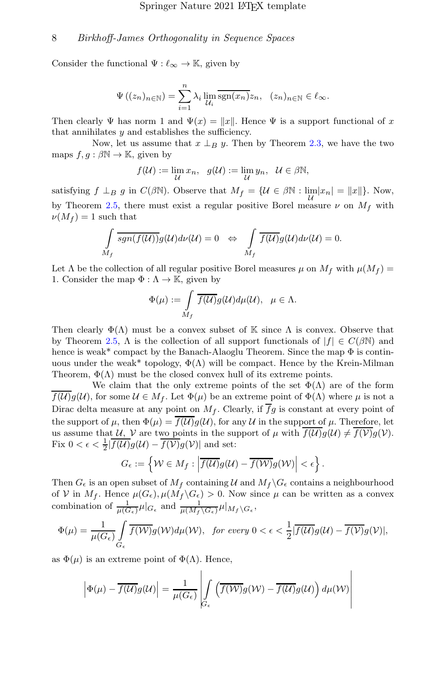Consider the functional  $\Psi : \ell_{\infty} \to \mathbb{K}$ , given by

$$
\Psi((z_n)_{n \in \mathbb{N}}) = \sum_{i=1}^n \lambda_i \lim_{\mathcal{U}_i} \overline{\text{sgn}(x_n)} z_n, \quad (z_n)_{n \in \mathbb{N}} \in \ell_{\infty}.
$$

Then clearly Ψ has norm 1 and  $\Psi(x) = ||x||$ . Hence Ψ is a support functional of x that annihilates  $y$  and establishes the sufficiency.

Now, let us assume that  $x \perp_B y$ . Then by Theorem [2.3,](#page-5-0) we have the two maps  $f, g : \beta \mathbb{N} \to \mathbb{K}$ , given by

$$
f(\mathcal{U}) := \lim_{\mathcal{U}} x_n, \quad g(\mathcal{U}) := \lim_{\mathcal{U}} y_n, \quad \mathcal{U} \in \beta \mathbb{N},
$$

satisfying  $f \perp_B g$  in  $C(\beta \mathbb{N})$ . Observe that  $M_f = \{ \mathcal{U} \in \beta \mathbb{N} : \lim_{\mathcal{U}} |x_n| = ||x|| \}$ . Now, by Theorem [2.5,](#page-6-0) there must exist a regular positive Borel measure  $\nu$  on  $M_f$  with  $\nu(M_f) = 1$  such that

$$
\int_{M_f} \overline{sgn(f(\mathcal{U}))} g(\mathcal{U}) d\nu(\mathcal{U}) = 0 \Leftrightarrow \int_{M_f} \overline{f(\mathcal{U})} g(\mathcal{U}) d\nu(\mathcal{U}) = 0.
$$

Let  $\Lambda$  be the collection of all regular positive Borel measures  $\mu$  on  $M_f$  with  $\mu(M_f)$  = 1. Consider the map  $\Phi : \Lambda \to \mathbb{K}$ , given by

$$
\Phi(\mu) := \int\limits_{M_f} \overline{f(\mathcal{U})} g(\mathcal{U}) d\mu(\mathcal{U}), \quad \mu \in \Lambda.
$$

Then clearly  $\Phi(\Lambda)$  must be a convex subset of K since  $\Lambda$  is convex. Observe that by Theorem [2.5,](#page-6-0)  $\Lambda$  is the collection of all support functionals of  $|f| \in C(\beta\mathbb{N})$  and hence is weak\* compact by the Banach-Alaoglu Theorem. Since the map  $\Phi$  is continuous under the weak\* topology,  $\Phi(\Lambda)$  will be compact. Hence by the Krein-Milman Theorem,  $\Phi(\Lambda)$  must be the closed convex hull of its extreme points.

We claim that the only extreme points of the set  $\Phi(\Lambda)$  are of the form  $f(\mathcal{U})g(\mathcal{U})$ , for some  $\mathcal{U} \in M_f$ . Let  $\Phi(\mu)$  be an extreme point of  $\Phi(\Lambda)$  where  $\mu$  is not a Dirac delta measure at any point on  $M_f$ . Clearly, if  $\overline{f}g$  is constant at every point of the support of  $\mu$ , then  $\Phi(\mu) = \overline{f(\mathcal{U})g(\mathcal{U})}$ , for any  $\mathcal U$  in the support of  $\mu$ . Therefore, let us assume that U, V are two points in the support of  $\mu$  with  $\overline{f(U)}g(U) \neq \overline{f(V)}g(V)$ . Fix  $0 < \epsilon < \frac{1}{2} | \overline{f(U)}g(U) - \overline{f(V)}g(V)|$  and set:

$$
G_{\epsilon} := \left\{ \mathcal{W} \in M_f : \left| \overline{f(\mathcal{U})} g(\mathcal{U}) - \overline{f(\mathcal{W})} g(\mathcal{W}) \right| < \epsilon \right\}.
$$

Then  $G_{\epsilon}$  is an open subset of  $M_f$  containing U and  $M_f \backslash G_{\epsilon}$  contains a neighbourhood of V in  $M_f$ . Hence  $\mu(G_\epsilon), \mu(M_f \backslash G_\epsilon) > 0$ . Now since  $\mu$  can be written as a convex combination of  $\frac{1}{\mu(G_{\epsilon})}\mu|_{G_{\epsilon}}$  and  $\frac{1}{\mu(M_f \backslash G_{\epsilon})}\mu|_{M_f \backslash G_{\epsilon}}$ ,

$$
\Phi(\mu) = \frac{1}{\mu(G_{\epsilon})} \int\limits_{G_{\epsilon}} \overline{f(\mathcal{W})} g(\mathcal{W}) d\mu(\mathcal{W}), \ \ \text{for every } 0 < \epsilon < \frac{1}{2} |\overline{f(\mathcal{U})} g(\mathcal{U}) - \overline{f(\mathcal{V})} g(\mathcal{V})|,
$$

as  $\Phi(\mu)$  is an extreme point of  $\Phi(\Lambda)$ . Hence,

$$
\left|\Phi(\mu) - \overline{f(\mathcal{U})}g(\mathcal{U})\right| = \frac{1}{\mu(G_{\epsilon})}\left|\int\limits_{G_{\epsilon}} \left(\overline{f(\mathcal{W})}g(\mathcal{W}) - \overline{f(\mathcal{U})}g(\mathcal{U})\right) d\mu(\mathcal{W})\right|
$$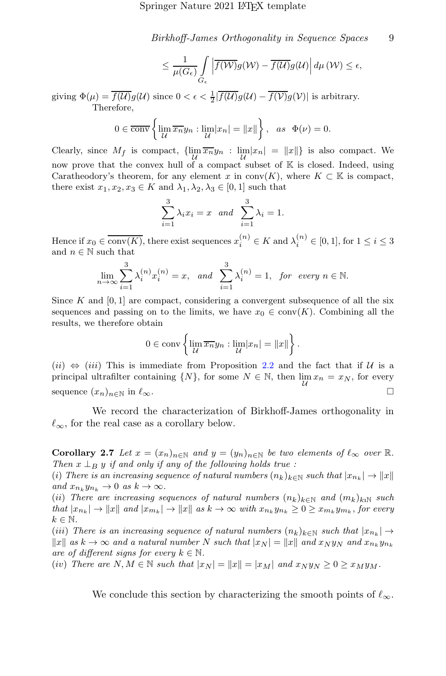$$
\leq \frac{1}{\mu(G_{\epsilon})} \int\limits_{G_{\epsilon}} \left| \overline{f(\mathcal{W})} g(\mathcal{W}) - \overline{f(\mathcal{U})} g(\mathcal{U}) \right| d\mu(\mathcal{W}) \leq \epsilon,
$$

giving  $\Phi(\mu) = \overline{f(\mathcal{U})g(\mathcal{U})}$  since  $0 < \epsilon < \frac{1}{2} |\overline{f(\mathcal{U})g(\mathcal{U})} - \overline{f(\mathcal{V})g(\mathcal{V})}|$  is arbitrary. Therefore,

$$
0 \in \overline{\text{conv}}\left\{\lim_{\mathcal{U}}\overline{x_n}y_n : \lim_{\mathcal{U}}|x_n| = \|x\|\right\}, \text{ as } \Phi(\nu) = 0.
$$

Clearly, since  $M_f$  is compact,  $\{\lim_{\mathcal{U}} \overline{x_n} y_n : \lim_{\mathcal{U}} |x_n| = ||x||\}$  is also compact. We now prove that the convex hull of a compact subset of  $\mathbb K$  is closed. Indeed, using Caratheodory's theorem, for any element x in conv(K), where  $K \subset \mathbb{K}$  is compact, there exist  $x_1, x_2, x_3 \in K$  and  $\lambda_1, \lambda_2, \lambda_3 \in [0, 1]$  such that

$$
\sum_{i=1}^{3} \lambda_i x_i = x \text{ and } \sum_{i=1}^{3} \lambda_i = 1.
$$

Hence if  $x_0 \in \overline{\text{conv}(K)}$ , there exist sequences  $x_i^{(n)} \in K$  and  $\lambda_i^{(n)} \in [0,1]$ , for  $1 \le i \le 3$ and  $n \in \mathbb{N}$  such that

$$
\lim_{n \to \infty} \sum_{i=1}^{3} \lambda_i^{(n)} x_i^{(n)} = x, \text{ and } \sum_{i=1}^{3} \lambda_i^{(n)} = 1, \text{ for every } n \in \mathbb{N}.
$$

Since K and  $[0, 1]$  are compact, considering a convergent subsequence of all the six sequences and passing on to the limits, we have  $x_0 \in \text{conv}(K)$ . Combining all the results, we therefore obtain

$$
0 \in \operatorname{conv}\left\{\lim_{\mathcal{U}} \overline{x_n} y_n : \lim_{\mathcal{U}} |x_n| = ||x||\right\}.
$$

(ii)  $\Leftrightarrow$  (iii) This is immediate from Proposition [2.2](#page-4-1) and the fact that if U is a principal ultrafilter containing  $\{N\}$ , for some  $N \in \mathbb{N}$ , then  $\lim_{\mathcal{U}} x_n = x_N$ , for every sequence  $(x_n)_{n\in\mathbb{N}}$  in  $\ell_{\infty}$ .

We record the characterization of Birkhoff-James orthogonality in  $\ell_{\infty}$ , for the real case as a corollary below.

Corollary 2.7 Let  $x = (x_n)_{n \in \mathbb{N}}$  and  $y = (y_n)_{n \in \mathbb{N}}$  be two elements of  $\ell_{\infty}$  over  $\mathbb{R}$ . Then  $x \perp_B y$  if and only if any of the following holds true :

(i) There is an increasing sequence of natural numbers  $(n_k)_{k\in\mathbb{N}}$  such that  $|x_{n_k}|\to \|x\|$ and  $x_{n_k} y_{n_k} \to 0$  as  $k \to \infty$ .

(ii) There are increasing sequences of natural numbers  $(n_k)_{k\in\mathbb{N}}$  and  $(m_k)_{k\in\mathbb{N}}$  such that  $|x_{n_k}| \to ||x||$  and  $|x_{m_k}| \to ||x||$  as  $k \to \infty$  with  $x_{n_k}y_{n_k} \geq 0 \geq x_{m_k}y_{m_k}$ , for every  $k \in \mathbb{N}$ .

(iii) There is an increasing sequence of natural numbers  $(n_k)_{k \in \mathbb{N}}$  such that  $|x_{n_k}| \to$  $||x||$  as  $k \to \infty$  and a natural number N such that  $|x_N| = ||x||$  and  $x_N y_N$  and  $x_{n_k} y_{n_k}$ are of different signs for every  $k \in \mathbb{N}$ .

(iv) There are  $N, M \in \mathbb{N}$  such that  $|x_N| = ||x|| = |x_M|$  and  $x_N y_N \geq 0 \geq x_M y_M$ .

We conclude this section by characterizing the smooth points of  $\ell_{\infty}$ .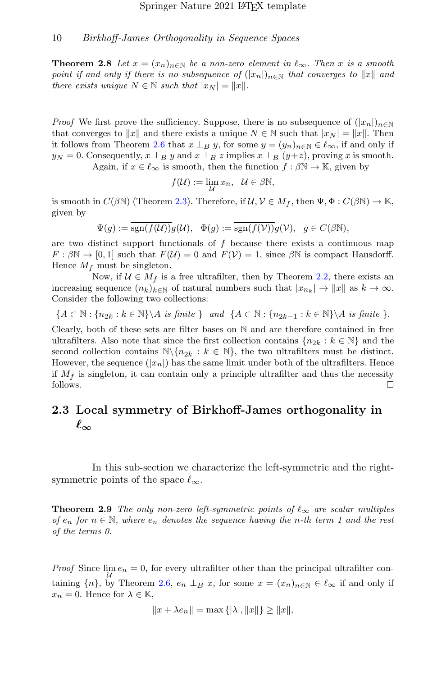**Theorem 2.8** Let  $x = (x_n)_{n \in \mathbb{N}}$  be a non-zero element in  $\ell_{\infty}$ . Then x is a smooth point if and only if there is no subsequence of  $(|x_n|)_{n\in\mathbb{N}}$  that converges to  $||x||$  and there exists unique  $N \in \mathbb{N}$  such that  $|x_N| = ||x||$ .

*Proof* We first prove the sufficiency. Suppose, there is no subsequence of  $(|x_n|)_{n\in\mathbb{N}}$ that converges to  $||x||$  and there exists a unique  $N \in \mathbb{N}$  such that  $|x_N| = ||x||$ . Then it follows from Theorem [2.6](#page-6-1) that  $x \perp_B y$ , for some  $y = (y_n)_{n \in \mathbb{N}} \in \ell_\infty$ , if and only if  $y_N = 0$ . Consequently,  $x \perp_B y$  and  $x \perp_B z$  implies  $x \perp_B (y+z)$ , proving x is smooth.

Again, if  $x \in \ell_{\infty}$  is smooth, then the function  $f : \beta \mathbb{N} \to \mathbb{K}$ , given by

$$
f(\mathcal{U}) := \lim_{\mathcal{U}} x_n, \ \mathcal{U} \in \beta \mathbb{N},
$$

is smooth in  $C(\beta \mathbb{N})$  (Theorem [2.3\)](#page-5-0). Therefore, if  $\mathcal{U}, \mathcal{V} \in M_f$ , then  $\Psi, \Phi : C(\beta \mathbb{N}) \to \mathbb{K}$ , given by

 $\Psi(q) := \overline{\text{sgn}(f(\mathcal{U}))} q(\mathcal{U}), \quad \Phi(q) := \overline{\text{sgn}(f(\mathcal{V}))} q(\mathcal{V}), \quad q \in C(\beta \mathbb{N}),$ 

are two distinct support functionals of  $f$  because there exists a continuous map  $F : \beta \mathbb{N} \to [0, 1]$  such that  $F(\mathcal{U}) = 0$  and  $F(\mathcal{V}) = 1$ , since  $\beta \mathbb{N}$  is compact Hausdorff. Hence  $M_f$  must be singleton.

Now, if  $U \in M_f$  is a free ultrafilter, then by Theorem [2.2,](#page-4-1) there exists an increasing sequence  $(n_k)_{k\in\mathbb{N}}$  of natural numbers such that  $|x_{n_k}|\to \|x\|$  as  $k\to\infty$ . Consider the following two collections:

$$
\{A \subset \mathbb{N} : \{n_{2k} : k \in \mathbb{N}\} \setminus A \text{ is finite }\} \text{ and } \{A \subset \mathbb{N} : \{n_{2k-1} : k \in \mathbb{N}\} \setminus A \text{ is finite }\}.
$$

Clearly, both of these sets are filter bases on N and are therefore contained in free ultrafilters. Also note that since the first collection contains  $\{n_{2k}: k \in \mathbb{N}\}\$  and the second collection contains  $\mathbb{N}\setminus\{n_{2k}:k\in\mathbb{N}\}\$ , the two ultrafilters must be distinct. However, the sequence  $(|x_n|)$  has the same limit under both of the ultrafilters. Hence if  $M_f$  is singleton, it can contain only a principle ultrafilter and thus the necessity follows.  $\Box$ 

# 2.3 Local symmetry of Birkhoff-James orthogonality in  $\ell_{\infty}$

In this sub-section we characterize the left-symmetric and the rightsymmetric points of the space  $\ell_{\infty}$ .

<span id="page-9-0"></span>**Theorem 2.9** The only non-zero left-symmetric points of  $\ell_{\infty}$  are scalar multiples of  $e_n$  for  $n \in \mathbb{N}$ , where  $e_n$  denotes the sequence having the n-th term 1 and the rest of the terms 0.

*Proof* Since  $\lim_{\mathcal{U}} e_n = 0$ , for every ultrafilter other than the principal ultrafilter containing  $\{n\}$ , by Theorem [2.6,](#page-6-1)  $e_n \perp_B x$ , for some  $x = (x_n)_{n \in \mathbb{N}} \in \ell_\infty$  if and only if  $x_n = 0$ . Hence for  $\lambda \in \mathbb{K}$ ,

$$
||x + \lambda e_n|| = \max\{|\lambda|, ||x||\} \ge ||x||,
$$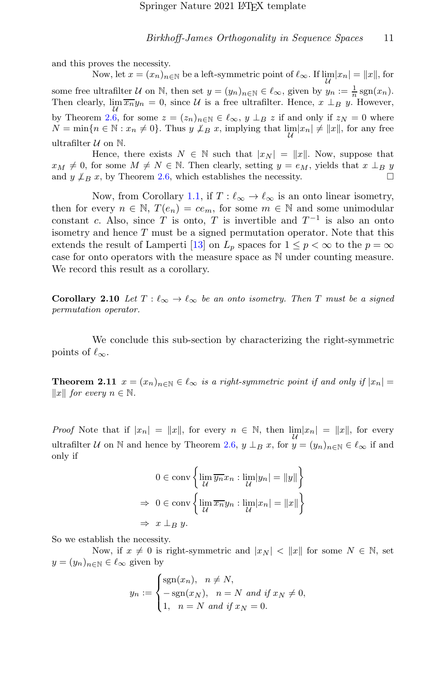and this proves the necessity.

Now, let  $x = (x_n)_{n \in \mathbb{N}}$  be a left-symmetric point of  $\ell_{\infty}$ . If  $\lim_{\mathcal{U}} |x_n| = ||x||$ , for some free ultrafilter U on N, then set  $y = (y_n)_{n \in \mathbb{N}} \in \ell_\infty$ , given by  $y_n := \frac{1}{n} \text{sgn}(x_n)$ . Then clearly,  $\lim_{M} \overline{x_{n}}y_{n} = 0$ , since U is a free ultrafilter. Hence,  $x \perp_{B} y$ . However, by Theorem [2.6,](#page-6-1) for some  $z = (z_n)_{n \in \mathbb{N}} \in \ell_{\infty}$ ,  $y \perp_B z$  if and only if  $z_N = 0$  where  $N = \min\{n \in \mathbb{N} : x_n \neq 0\}.$  Thus  $y \not\perp_B x$ , implying that  $\lim_{\mathcal{U}} |x_n| \neq ||x||$ , for any free ultrafilter  $U$  on  $N$ .

Hence, there exists  $N \in \mathbb{N}$  such that  $|x_N| = ||x||$ . Now, suppose that  $x_M \neq 0$ , for some  $M \neq N \in \mathbb{N}$ . Then clearly, setting  $y = e_M$ , yields that  $x \perp_B y$ and  $y \nightharpoonup_B x$ , by Theorem [2.6,](#page-6-1) which establishes the necessity.  $\square$ 

Now, from Corollary [1.1,](#page-2-0) if  $T: \ell_{\infty} \to \ell_{\infty}$  is an onto linear isometry, then for every  $n \in \mathbb{N}$ ,  $T(e_n) = ce_m$ , for some  $m \in \mathbb{N}$  and some unimodular constant c. Also, since T is onto, T is invertible and  $T^{-1}$  is also an onto isometry and hence  $T$  must be a signed permutation operator. Note that this extends the result of Lamperti [\[13](#page-18-2)] on  $L_p$  spaces for  $1 \leq p < \infty$  to the  $p = \infty$ case for onto operators with the measure space as N under counting measure. We record this result as a corollary.

<span id="page-10-1"></span>**Corollary 2.10** Let  $T : \ell_{\infty} \to \ell_{\infty}$  be an onto isometry. Then T must be a signed permutation operator.

We conclude this sub-section by characterizing the right-symmetric points of  $\ell_{\infty}$ .

<span id="page-10-0"></span>**Theorem 2.11**  $x = (x_n)_{n \in \mathbb{N}} \in \ell_\infty$  is a right-symmetric point if and only if  $|x_n|$  $||x||$  for every  $n \in \mathbb{N}$ .

*Proof* Note that if  $|x_n| = ||x||$ , for every  $n \in \mathbb{N}$ , then  $\lim_{\mathcal{U}} |x_n| = ||x||$ , for every ultrafilter U on N and hence by Theorem [2.6,](#page-6-1)  $y \perp_B x$ , for  $y = (y_n)_{n \in \mathbb{N}} \in \ell_\infty$  if and only if

$$
0 \in \operatorname{conv}\left\{\lim_{\mathcal{U}} \overline{y_n} x_n : \lim_{\mathcal{U}} |y_n| = ||y||\right\}
$$

$$
\Rightarrow 0 \in \operatorname{conv}\left\{\lim_{\mathcal{U}} \overline{x_n} y_n : \lim_{\mathcal{U}} |x_n| = ||x||\right\}
$$

$$
\Rightarrow x \perp_B y.
$$

So we establish the necessity.

Now, if  $x \neq 0$  is right-symmetric and  $|x_N| < ||x||$  for some  $N \in \mathbb{N}$ , set  $y = (y_n)_{n \in \mathbb{N}} \in \ell_\infty$  given by

$$
y_n := \begin{cases} \text{sgn}(x_n), & n \neq N, \\ -\text{sgn}(x_N), & n = N \text{ and if } x_N \neq 0, \\ 1, & n = N \text{ and if } x_N = 0. \end{cases}
$$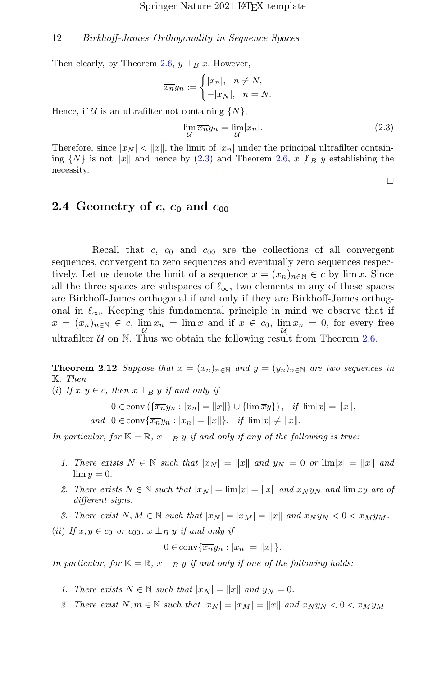Then clearly, by Theorem [2.6,](#page-6-1)  $y \perp_B x$ . However,

$$
\overline{x_n}y_n := \begin{cases} |x_n|, & n \neq N, \\ -|x_N|, & n = N. \end{cases}
$$

Hence, if  $U$  is an ultrafilter not containing  $\{N\}$ ,

$$
\lim_{\mathcal{U}} \overline{x_n} y_n = \lim_{\mathcal{U}} |x_n|.
$$
\n(2.3)

Therefore, since  $|x_N| < ||x||$ , the limit of  $|x_n|$  under the principal ultrafilter containing  $\{N\}$  is not  $||x||$  and hence by [\(2.3\)](#page-11-0) and Theorem [2.6,](#page-6-1)  $x \not\perp_B y$  establishing the necessity.

<span id="page-11-0"></span> $\Box$ 

### 2.4 Geometry of c,  $c_0$  and  $c_{00}$

Recall that c,  $c_0$  and  $c_{00}$  are the collections of all convergent sequences, convergent to zero sequences and eventually zero sequences respectively. Let us denote the limit of a sequence  $x = (x_n)_{n \in \mathbb{N}} \in c$  by lim x. Since all the three spaces are subspaces of  $\ell_{\infty}$ , two elements in any of these spaces are Birkhoff-James orthogonal if and only if they are Birkhoff-James orthogonal in  $\ell_{\infty}$ . Keeping this fundamental principle in mind we observe that if  $x = (x_n)_{n \in \mathbb{N}} \in c$ ,  $\lim_{\mathcal{U}} x_n = \lim_{x \to \infty} x$  and if  $x \in c_0$ ,  $\lim_{\mathcal{U}} x_n = 0$ , for every free ultrafilter  $U$  on N. Thus we obtain the following result from Theorem [2.6.](#page-6-1)

<span id="page-11-1"></span>**Theorem 2.12** Suppose that  $x = (x_n)_{n \in \mathbb{N}}$  and  $y = (y_n)_{n \in \mathbb{N}}$  are two sequences in K. Then

(i) If  $x, y \in c$ , then  $x \perp_B y$  if and only if

$$
0 \in \text{conv}\left(\{\overline{x_n}y_n : |x_n| = ||x||\right\} \cup \{\lim \overline{x}y\}\right), \quad \text{if } \lim |x| = ||x||,
$$
  
and 
$$
0 \in \text{conv}\{\overline{x_n}y_n : |x_n| = ||x||\}, \quad \text{if } \lim |x| \neq ||x||.
$$

In particular, for  $K = \mathbb{R}$ ,  $x \perp_B y$  if and only if any of the following is true:

- 1. There exists  $N \in \mathbb{N}$  such that  $|x_N| = ||x||$  and  $y_N = 0$  or  $\lim |x| = ||x||$  and  $\lim y = 0.$
- 2. There exists  $N \in \mathbb{N}$  such that  $|x_N| = \lim |x| = ||x||$  and  $x_N y_N$  and  $\lim xy$  are of different signs.
- 3. There exist  $N, M \in \mathbb{N}$  such that  $|x_N| = |x_M| = ||x||$  and  $x_N y_N < 0 < x_M y_M$ .

(ii) If  $x, y \in c_0$  or  $c_{00}$ ,  $x \perp_B y$  if and only if

$$
0 \in \operatorname{conv}\{\overline{x_n}y_n : |x_n| = ||x||\}.
$$

In particular, for  $K = \mathbb{R}$ ,  $x \perp_B y$  if and only if one of the following holds:

- 1. There exists  $N \in \mathbb{N}$  such that  $|x_N| = ||x||$  and  $y_N = 0$ .
- 2. There exist  $N, m \in \mathbb{N}$  such that  $|x_N| = |x_M| = ||x||$  and  $x_N y_N < 0 < x_M y_M$ .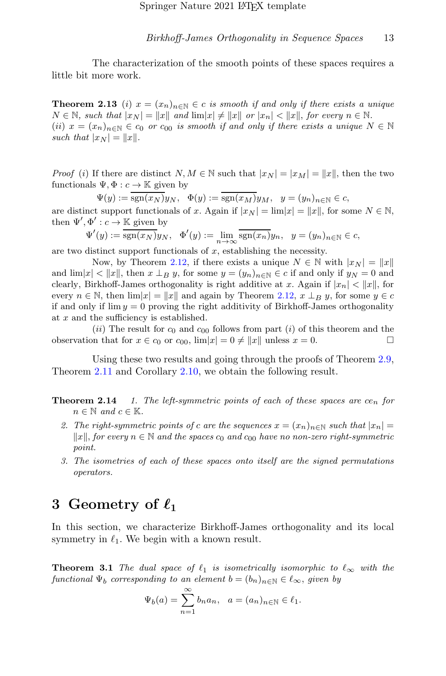The characterization of the smooth points of these spaces requires a little bit more work.

**Theorem 2.13** (i)  $x = (x_n)_{n \in \mathbb{N}} \in c$  is smooth if and only if there exists a unique  $N \in \mathbb{N}$ , such that  $|x_N| = ||x||$  and  $\lim |x| \neq ||x||$  or  $|x_n| < ||x||$ , for every  $n \in \mathbb{N}$ . (ii)  $x = (x_n)_{n \in \mathbb{N}} \in c_0$  or  $c_{00}$  is smooth if and only if there exists a unique  $N \in \mathbb{N}$ such that  $|x_N| = ||x||$ .

*Proof* (i) If there are distinct  $N, M \in \mathbb{N}$  such that  $|x_N| = |x_M| = ||x||$ , then the two functionals  $\Psi, \Phi : c \to \mathbb{K}$  given by

 $\Psi(y) := \overline{\text{sgn}(x_N)}y_N, \quad \Phi(y) := \text{sgn}(x_M)y_M, \quad y = (y_n)_{n \in \mathbb{N}} \in c,$ are distinct support functionals of x. Again if  $|x_N| = \lim |x| = ||x||$ , for some  $N \in \mathbb{N}$ , then  $\Psi', \Phi' : c \to \mathbb{K}$  given by

$$
\Psi'(y) := \overline{\text{sgn}(x_N)}y_N, \quad \Phi'(y) := \lim_{n \to \infty} \overline{\text{sgn}(x_n)}y_n, \quad y = (y_n)_{n \in \mathbb{N}} \in c,
$$

are two distinct support functionals of  $x$ , establishing the necessity.

Now, by Theorem [2.12,](#page-11-1) if there exists a unique  $N \in \mathbb{N}$  with  $|x_N| = ||x||$ and  $\lim |x| < ||x||$ , then  $x \perp_B y$ , for some  $y = (y_n)_{n \in \mathbb{N}} \in c$  if and only if  $y_N = 0$  and clearly, Birkhoff-James orthogonality is right additive at x. Again if  $|x_n| < ||x||$ , for every  $n \in \mathbb{N}$ , then  $\lim |x| = ||x||$  and again by Theorem [2.12,](#page-11-1)  $x \perp_B y$ , for some  $y \in c$ if and only if  $\lim y = 0$  proving the right additivity of Birkhoff-James orthogonality at x and the sufficiency is established.

(ii) The result for  $c_0$  and  $c_{00}$  follows from part (i) of this theorem and the observation that for  $x \in c_0$  or  $c_{00}$ ,  $\lim |x| = 0 \neq ||x||$  unless  $x = 0$ .

Using these two results and going through the proofs of Theorem [2.9,](#page-9-0) Theorem [2.11](#page-10-0) and Corollary [2.10,](#page-10-1) we obtain the following result.

- **Theorem 2.14** 1. The left-symmetric points of each of these spaces are  $ce_n$  for  $n \in \mathbb{N}$  and  $c \in \mathbb{K}$ .
	- 2. The right-symmetric points of c are the sequences  $x = (x_n)_{n \in \mathbb{N}}$  such that  $|x_n| =$  $||x||$ , for every n ∈ N and the spaces  $c_0$  and  $c_{00}$  have no non-zero right-symmetric point.
	- 3. The isometries of each of these spaces onto itself are the signed permutations operators.

# 3 Geometry of  $\ell_1$

In this section, we characterize Birkhoff-James orthogonality and its local symmetry in  $\ell_1$ . We begin with a known result.

**Theorem 3.1** The dual space of  $\ell_1$  is isometrically isomorphic to  $\ell_{\infty}$  with the functional  $\Psi_b$  corresponding to an element  $b = (b_n)_{n \in \mathbb{N}} \in \ell_\infty$ , given by

$$
\Psi_b(a) = \sum_{n=1}^{\infty} b_n a_n, \quad a = (a_n)_{n \in \mathbb{N}} \in \ell_1.
$$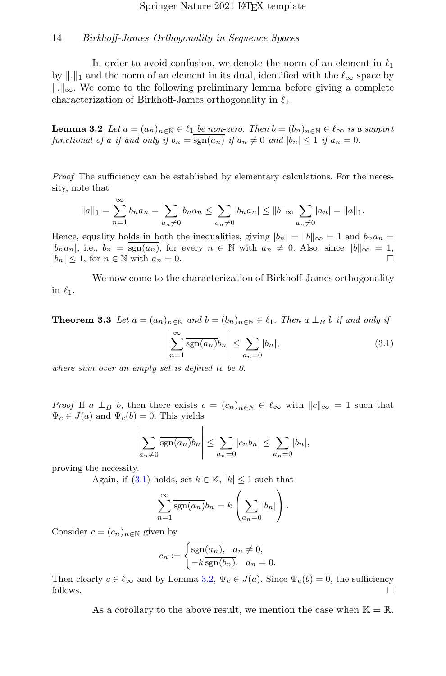In order to avoid confusion, we denote the norm of an element in  $\ell_1$ by  $\|.\|_1$  and the norm of an element in its dual, identified with the  $\ell_{\infty}$  space by  $\|\cdot\|_{\infty}$ . We come to the following preliminary lemma before giving a complete characterization of Birkhoff-James orthogonality in  $\ell_1$ .

<span id="page-13-1"></span>**Lemma 3.2** Let  $a = (a_n)_{n \in \mathbb{N}} \in \ell_1$  be non-zero. Then  $b = (b_n)_{n \in \mathbb{N}} \in \ell_\infty$  is a support functional of a if and only if  $b_n = \overline{\text{sgn}(a_n)}$  if  $a_n \neq 0$  and  $|b_n| \leq 1$  if  $a_n = 0$ .

Proof The sufficiency can be established by elementary calculations. For the necessity, note that

$$
||a||_1 = \sum_{n=1}^{\infty} b_n a_n = \sum_{a_n \neq 0} b_n a_n \le \sum_{a_n \neq 0} |b_n a_n| \le ||b||_{\infty} \sum_{a_n \neq 0} |a_n| = ||a||_1.
$$

Hence, equality holds in both the inequalities, giving  $|b_n| = ||b||_{\infty} = 1$  and  $b_n a_n =$  $|b_n a_n|$ , i.e.,  $b_n = \text{sgn}(a_n)$ , for every  $n \in \mathbb{N}$  with  $a_n \neq 0$ . Also, since  $||b||_{\infty} = 1$ ,  $|b_n| \leq 1$ , for  $n \in \mathbb{N}$  with  $a_n = 0$ .

We now come to the characterization of Birkhoff-James orthogonality in  $\ell_1$ .

<span id="page-13-2"></span>**Theorem 3.3** Let  $a = (a_n)_{n \in \mathbb{N}}$  and  $b = (b_n)_{n \in \mathbb{N}} \in \ell_1$ . Then  $a \perp_B b$  if and only if

<span id="page-13-0"></span>
$$
\left| \sum_{n=1}^{\infty} \overline{\text{sgn}(a_n)} b_n \right| \leq \sum_{a_n=0} |b_n|,\tag{3.1}
$$

where sum over an empty set is defined to be 0.

*Proof* If  $a \perp_B b$ , then there exists  $c = (c_n)_{n \in \mathbb{N}} \in \ell_\infty$  with  $||c||_{\infty} = 1$  such that  $\Psi_c \in J(a)$  and  $\Psi_c(b) = 0$ . This yields

$$
\left|\sum_{a_n\neq 0} \overline{\text{sgn}(a_n)}b_n\right| \leq \sum_{a_n=0} |c_n b_n| \leq \sum_{a_n=0} |b_n|,
$$

proving the necessity.

Again, if  $(3.1)$  holds, set  $k \in \mathbb{K}$ ,  $|k| \leq 1$  such that

$$
\sum_{n=1}^{\infty} \overline{\text{sgn}(a_n)} b_n = k \left( \sum_{a_n=0} |b_n| \right).
$$

Consider  $c = (c_n)_{n \in \mathbb{N}}$  given by

$$
c_n := \begin{cases} \overline{\text{sgn}(a_n)}, & a_n \neq 0, \\ -k \overline{\text{sgn}(b_n)}, & a_n = 0. \end{cases}
$$

Then clearly  $c \in \ell_{\infty}$  and by Lemma [3.2,](#page-13-1)  $\Psi_c \in J(a)$ . Since  $\Psi_c(b) = 0$ , the sufficiency follows.  $\Box$ 

As a corollary to the above result, we mention the case when  $\mathbb{K} = \mathbb{R}$ .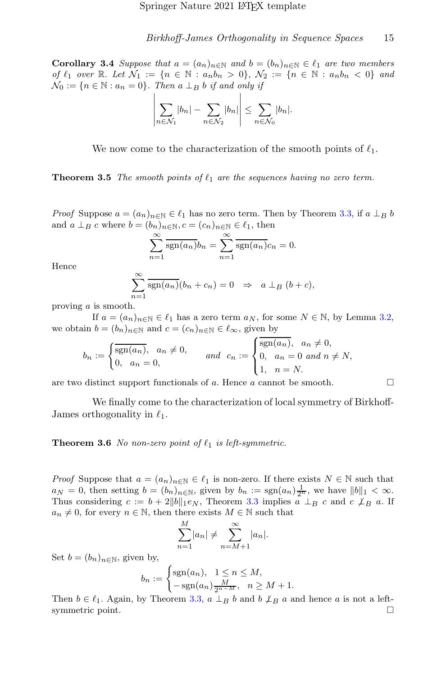**Corollary 3.4** Suppose that  $a = (a_n)_{n \in \mathbb{N}}$  and  $b = (b_n)_{n \in \mathbb{N}} \in \ell_1$  are two members of  $\ell_1$  over  $\mathbb{R}$ . Let  $\mathcal{N}_1 := \{n \in \mathbb{N} : a_n b_n > 0\}$ ,  $\mathcal{N}_2 := \{n \in \mathbb{N} : a_n b_n < 0\}$  and  $\mathcal{N}_0 := \{n \in \mathbb{N} : a_n = 0\}.$  Then a  $\perp_B b$  if and only if

$$
\left|\sum_{n\in\mathcal{N}_1}|b_n|-\sum_{n\in\mathcal{N}_2}|b_n|\right|\leq \sum_{n\in\mathcal{N}_0}|b_n|.
$$

We now come to the characterization of the smooth points of  $\ell_1$ .

**Theorem 3.5** The smooth points of  $\ell_1$  are the sequences having no zero term.

*Proof* Suppose  $a = (a_n)_{n \in \mathbb{N}} \in \ell_1$  has no zero term. Then by Theorem [3.3,](#page-13-2) if  $a \perp_B b$ and  $a \perp_B c$  where  $b = (b_n)_{n \in \mathbb{N}}$ ,  $c = (c_n)_{n \in \mathbb{N}} \in \ell_1$ , then

$$
\sum_{n=1}^{\infty} \overline{\text{sgn}(a_n)} b_n = \sum_{n=1}^{\infty} \overline{\text{sgn}(a_n)} c_n = 0.
$$

Hence

$$
\sum_{n=1}^{\infty} \overline{\text{sgn}(a_n)}(b_n + c_n) = 0 \Rightarrow a \perp_B (b + c),
$$

proving a is smooth.

If  $a = (a_n)_{n \in \mathbb{N}} \in \ell_1$  has a zero term  $a_N$ , for some  $N \in \mathbb{N}$ , by Lemma [3.2,](#page-13-1) we obtain  $b = (b_n)_{n \in \mathbb{N}}$  and  $c = (c_n)_{n \in \mathbb{N}} \in \ell_\infty$ , given by

$$
b_n := \begin{cases} \overline{\text{sgn}(a_n)}, & a_n \neq 0, \\ 0, & a_n = 0, \end{cases} \quad \text{and} \quad c_n := \begin{cases} \overline{\text{sgn}(a_n)}, & a_n \neq 0, \\ 0, & a_n = 0 \text{ and } n \neq N, \\ 1, & n = N. \end{cases}
$$

are two distinct support functionals of a. Hence a cannot be smooth.  $\Box$ 

We finally come to the characterization of local symmetry of Birkhoff-James orthogonality in  $\ell_1$ .

**Theorem 3.6** No non-zero point of  $\ell_1$  is left-symmetric.

*Proof* Suppose that  $a = (a_n)_{n \in \mathbb{N}} \in \ell_1$  is non-zero. If there exists  $N \in \mathbb{N}$  such that  $a_N = 0$ , then setting  $b = (b_n)_{n \in \mathbb{N}}$ , given by  $b_n := \text{sgn}(a_n) \frac{1}{2^n}$ , we have  $||b||_1 < \infty$ . Thus considering  $c := b + 2||b||_1 \epsilon_N$ , Theorem [3.3](#page-13-2) implies  $a \perp_B c$  and  $c \nleq_B a$ . If  $a_n \neq 0$ , for every  $n \in \mathbb{N}$ , then there exists  $M \in \mathbb{N}$  such that

$$
\sum_{n=1}^{M} |a_n| \neq \sum_{n=M+1}^{\infty} |a_n|.
$$

Set  $b = (b_n)_{n \in \mathbb{N}}$ , given by,

$$
b_n := \begin{cases} \text{sgn}(a_n), & 1 \le n \le M, \\ -\text{sgn}(a_n) \frac{M}{2^{n-M}}, & n \ge M+1. \end{cases}
$$

Then  $b \in \ell_1$ . Again, by Theorem [3.3,](#page-13-2)  $a \perp_B b$  and  $b \nsubseteq_B a$  and hence a is not a leftsymmetric point.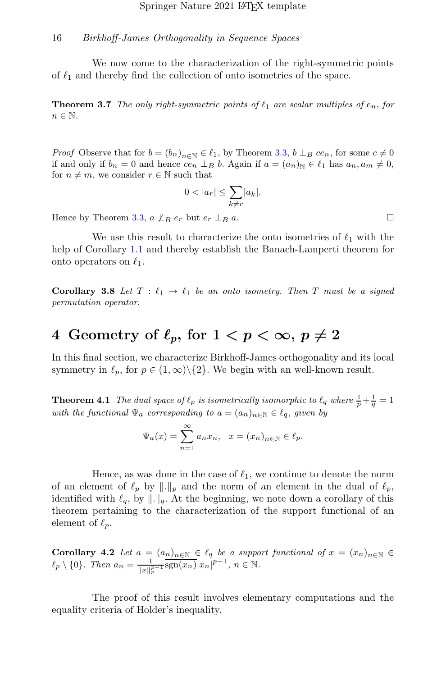We now come to the characterization of the right-symmetric points of  $\ell_1$  and thereby find the collection of onto isometries of the space.

**Theorem 3.7** The only right-symmetric points of  $\ell_1$  are scalar multiples of  $e_n$ , for  $n \in \mathbb{N}$ .

*Proof* Observe that for  $b = (b_n)_{n \in \mathbb{N}} \in \ell_1$ , by Theorem [3.3,](#page-13-2)  $b \perp_B c e_n$ , for some  $c \neq 0$ if and only if  $b_n = 0$  and hence  $ce_n \perp_B b$ . Again if  $a = (a_n)_{\mathbb{N}} \in \ell_1$  has  $a_n, a_m \neq 0$ , for  $n \neq m$ , we consider  $r \in \mathbb{N}$  such that

$$
0 < |a_r| \le \sum_{k \ne r} |a_k|.
$$

Hence by Theorem [3.3,](#page-13-2)  $a \nightharpoonup_B e_r$  but  $e_r \perp_B a$ .

We use this result to characterize the onto isometries of  $\ell_1$  with the help of Corollary [1.1](#page-2-0) and thereby establish the Banach-Lamperti theorem for onto operators on  $\ell_1$ .

Corollary 3.8 Let  $T : \ell_1 \to \ell_1$  be an onto isometry. Then T must be a signed permutation operator.

# 4 Geometry of  $\ell_p$ , for  $1 < p < \infty$ ,  $p \neq 2$

In this final section, we characterize Birkhoff-James orthogonality and its local symmetry in  $\ell_p$ , for  $p \in (1,\infty) \setminus \{2\}$ . We begin with an well-known result.

**Theorem 4.1** The dual space of  $\ell_p$  is isometrically isomorphic to  $\ell_q$  where  $\frac{1}{p} + \frac{1}{q} = 1$ with the functional  $\Psi_a$  corresponding to  $a = (a_n)_{n \in \mathbb{N}} \in \ell_q$ , given by

$$
\Psi_a(x) = \sum_{n=1}^{\infty} a_n x_n, \quad x = (x_n)_{n \in \mathbb{N}} \in \ell_p.
$$

Hence, as was done in the case of  $\ell_1$ , we continue to denote the norm of an element of  $\ell_p$  by  $\lVert \cdot \rVert_p$  and the norm of an element in the dual of  $\ell_p$ , identified with  $\ell_q$ , by  $\lVert \cdot \rVert_q$ . At the beginning, we note down a corollary of this theorem pertaining to the characterization of the support functional of an element of  $\ell_p$ .

<span id="page-15-0"></span>**Corollary 4.2** Let  $a = (a_n)_{n \in \mathbb{N}} \in \ell_q$  be a support functional of  $x = (x_n)_{n \in \mathbb{N}} \in$  $\ell_p \setminus \{0\}$ . Then  $a_n = \frac{1}{n-1}$  $\frac{1}{\|x\|_p^{p-1}} \text{sgn}(x_n)|x_n|^{p-1}, n \in \mathbb{N}.$ 

The proof of this result involves elementary computations and the equality criteria of Holder's inequality.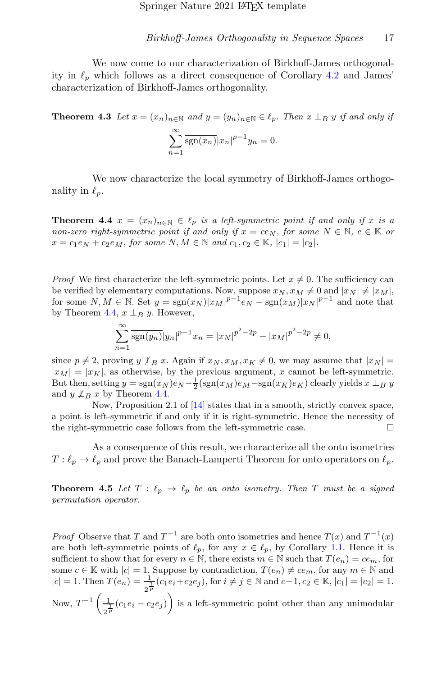We now come to our characterization of Birkhoff-James orthogonality in  $\ell_p$  which follows as a direct consequence of Corollary [4.2](#page-15-0) and James' characterization of Birkhoff-James orthogonality.

**Theorem 4.3** Let  $x = (x_n)_{n \in \mathbb{N}}$  and  $y = (y_n)_{n \in \mathbb{N}} \in \ell_p$ . Then  $x \perp_B y$  if and only if  $\sum^{\infty}$  $n=1$  $\frac{\text{sgn}(x_n)}{|x_n|^{p-1}}y_n = 0.$ 

We now characterize the local symmetry of Birkhoff-James orthogonality in  $\ell_p$ .

<span id="page-16-0"></span>**Theorem 4.4**  $x = (x_n)_{n \in \mathbb{N}} \in \ell_p$  is a left-symmetric point if and only if x is a non-zero right-symmetric point if and only if  $x = c \in N$ , for some  $N \in \mathbb{N}$ ,  $c \in \mathbb{K}$  or  $x = c_1e_N + c_2e_M$ , for some  $N, M \in \mathbb{N}$  and  $c_1, c_2 \in \mathbb{K}$ ,  $|c_1| = |c_2|$ .

*Proof* We first characterize the left-symmetric points. Let  $x \neq 0$ . The sufficiency can be verified by elementary computations. Now, suppose  $x_N$ ,  $x_M \neq 0$  and  $|x_N| \neq |x_M|$ , for some  $N, M \in \mathbb{N}$ . Set  $y = sgn(x_N)|x_M|^{p-1}e_N - sgn(x_M)|x_N|^{p-1}$  and note that by Theorem [4.4,](#page-16-0)  $x \perp_B y$ . However,

$$
\sum_{n=1}^{\infty} \overline{\text{sgn}(y_n)} |y_n|^{p-1} x_n = |x_N|^{p^2 - 2p} - |x_M|^{p^2 - 2p} \neq 0,
$$

since  $p \neq 2$ , proving  $y \not\perp_B x$ . Again if  $x_N, x_M, x_K \neq 0$ , we may assume that  $|x_N| =$  $|x_M| = |x_K|$ , as otherwise, by the previous argument, x cannot be left-symmetric. But then, setting  $y = sgn(x_N)e_N - \frac{1}{2}(sgn(x_M)e_M - sgn(x_K)e_K)$  clearly yields  $x \perp_B y$ and  $y \not\perp_B x$  by Theorem [4.4.](#page-16-0)

Now, Proposition 2.1 of [\[14\]](#page-18-9) states that in a smooth, strictly convex space, a point is left-symmetric if and only if it is right-symmetric. Hence the necessity of the right-symmetric case follows from the left-symmetric case.

As a consequence of this result, we characterize all the onto isometries  $T: \ell_p \to \ell_p$  and prove the Banach-Lamperti Theorem for onto operators on  $\ell_p$ .

**Theorem 4.5** Let  $T : \ell_p \to \ell_p$  be an onto isometry. Then T must be a signed permutation operator.

*Proof* Observe that T and  $T^{-1}$  are both onto isometries and hence  $T(x)$  and  $T^{-1}(x)$ are both left-symmetric points of  $\ell_p$ , for any  $x \in \ell_p$ , by Corollary [1.1.](#page-2-0) Hence it is sufficient to show that for every  $n \in \mathbb{N}$ , there exists  $m \in \mathbb{N}$  such that  $T(e_n) = ce_m$ , for some  $c \in \mathbb{K}$  with  $|c| = 1$ . Suppose by contradiction,  $T(e_n) \neq ce_m$ , for any  $m \in \mathbb{N}$  and  $|c| = 1$ . Then  $T(e_n) = \frac{1}{2^p} (c_1 e_i + c_2 e_j)$ , for  $i \neq j \in \mathbb{N}$  and  $c-1, c_2 \in \mathbb{K}$ ,  $|c_1| = |c_2| = 1$ . Now,  $T^{-1}\left(\frac{1}{-1}\right)$  $\frac{1}{2^{\frac{1}{p}}}(c_1e_i-c_2e_j)\bigg)$  is a left-symmetric point other than any unimodular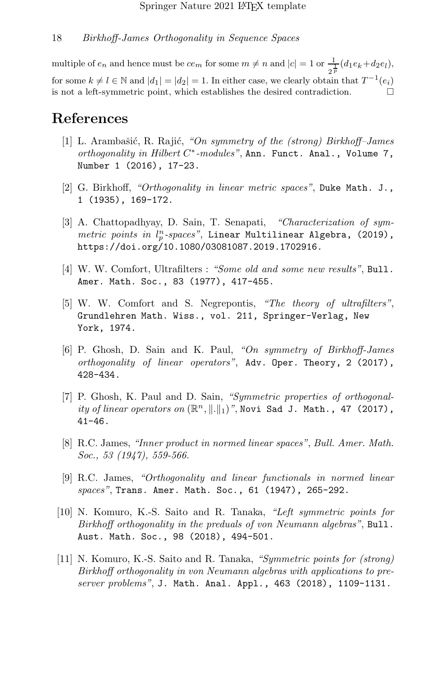multiple of  $e_n$  and hence must be  $ce_m$  for some  $m \neq n$  and  $|c| = 1$  or  $\frac{1}{2^{\frac{1}{p}}}(d_1e_k + d_2e_l)$ , for some  $k \neq l \in \mathbb{N}$  and  $|d_1| = |d_2| = 1$ . In either case, we clearly obtain that  $T^{-1}(e_i)$ is not a left-symmetric point, which establishes the desired contradiction.

# References

- <span id="page-17-0"></span>[1] L. Arambašić, R. Rajić, "On symmetry of the (strong) Birkhoff–James  $orthogonality$  in  $Hilbert$   $C^*$ -modules", Ann. Funct. Anal., Volume 7, Number 1 (2016), 17-23.
- <span id="page-17-6"></span>[2] G. Birkhoff, "Orthogonality in linear metric spaces", Duke Math. J., 1 (1935), 169-172.
- <span id="page-17-5"></span>[3] A. Chattopadhyay, D. Sain, T. Senapati, "Characterization of symmetric points in  $l_p^n$ -spaces", Linear Multilinear Algebra, (2019), https://doi.org/10.1080/03081087.2019.1702916.
- <span id="page-17-9"></span>[4] W. W. Comfort, Ultrafilters : "Some old and some new results", Bull. Amer. Math. Soc., 83 (1977), 417-455.
- [5] W. W. Comfort and S. Negrepontis, "The theory of ultrafilters", Grundlehren Math. Wiss., vol. 211, Springer-Verlag, New York, 1974.
- <span id="page-17-1"></span>[6] P. Ghosh, D. Sain and K. Paul, "On symmetry of Birkhoff-James orthogonality of linear operators", Adv. Oper. Theory, 2 (2017), 428-434.
- <span id="page-17-2"></span>[7] P. Ghosh, K. Paul and D. Sain, "Symmetric properties of orthogonality of linear operators on  $(\mathbb{R}^n, \|\. \|_1)$ ", Novi Sad J. Math., 47 (2017), 41-46.
- <span id="page-17-8"></span>[8] R.C. James, "Inner product in normed linear spaces", Bull. Amer. Math. Soc., 53 (1947), 559-566.
- <span id="page-17-7"></span>[9] R.C. James, "Orthogonality and linear functionals in normed linear spaces", Trans. Amer. Math. Soc., 61 (1947), 265-292.
- <span id="page-17-3"></span>[10] N. Komuro, K.-S. Saito and R. Tanaka, "Left symmetric points for Birkhoff orthogonality in the preduals of von Neumann algebras", Bull. Aust. Math. Soc., 98 (2018), 494-501.
- <span id="page-17-4"></span>[11] N. Komuro, K.-S. Saito and R. Tanaka, "Symmetric points for (strong) Birkhoff orthogonality in von Neumann algebras with applications to preserver problems", J. Math. Anal. Appl., 463 (2018), 1109-1131.